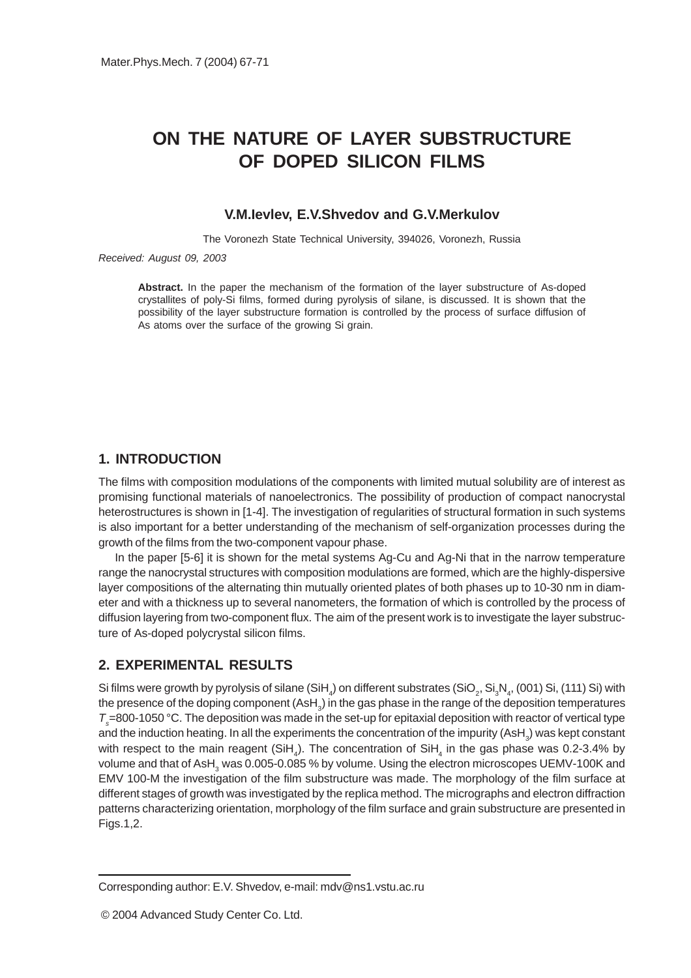# **ON THE NATURE OF LAYER SUBSTRUCTURE OF DOPED SILICON FILMS**

#### **V.M.Ievlev, E.V.Shvedov and G.V.Merkulov**

The Voronezh State Technical University, 394026, Voronezh, Russia

#### *Received: August 09, 2003*

**Abstract.** In the paper the mechanism of the formation of the layer substructure of As-doped crystallites of poly-Si films, formed during pyrolysis of silane, is discussed. It is shown that the possibility of the layer substructure formation is controlled by the process of surface diffusion of As atoms over the surface of the growing Si grain.

## **1. INTRODUCTION**

The films with composition modulations of the components with limited mutual solubility are of interest as promising functional materials of nanoelectronics. The possibility of production of compact nanocrystal heterostructures is shown in [1-4]. The investigation of regularities of structural formation in such systems is also important for a better understanding of the mechanism of self-organization processes during the growth of the films from the two-component vapour phase.

In the paper [5-6] it is shown for the metal systems Ag-Cu and Ag-Ni that in the narrow temperature range the nanocrystal structures with composition modulations are formed, which are the highly-dispersive layer compositions of the alternating thin mutually oriented plates of both phases up to 10-30 nm in diameter and with a thickness up to several nanometers, the formation of which is controlled by the process of diffusion layering from two-component flux. The aim of the present work is to investigate the layer substructure of As-doped polycrystal silicon films.

# **2. EXPERIMENTAL RESULTS**

Si films were growth by pyrolysis of silane (SiH $_{_4}$ ) on different substrates (SiO $_{_2}$ , Si $_{_3}$ N $_{_4}$ , (001) Si, (111) Si) with the presence of the doping component (AsH $_{\rm_3})$  in the gas phase in the range of the deposition temperatures *Ts* =800-1050 °C. The deposition was made in the set-up for epitaxial deposition with reactor of vertical type and the induction heating. In all the experiments the concentration of the impurity (AsH $_{\rm_3}$ ) was kept constant with respect to the main reagent (SiH<sub>4</sub>). The concentration of SiH<sub>4</sub> in the gas phase was 0.2-3.4% by volume and that of AsH<sub>3</sub> was 0.005-0.085 % by volume. Using the electron microscopes UEMV-100K and EMV 100-M the investigation of the film substructure was made. The morphology of the film surface at different stages of growth was investigated by the replica method. The micrographs and electron diffraction patterns characterizing orientation, morphology of the film surface and grain substructure are presented in Figs.1,2.

Corresponding author: E.V. Shvedov, e-mail: mdv@ns1.vstu.ac.ru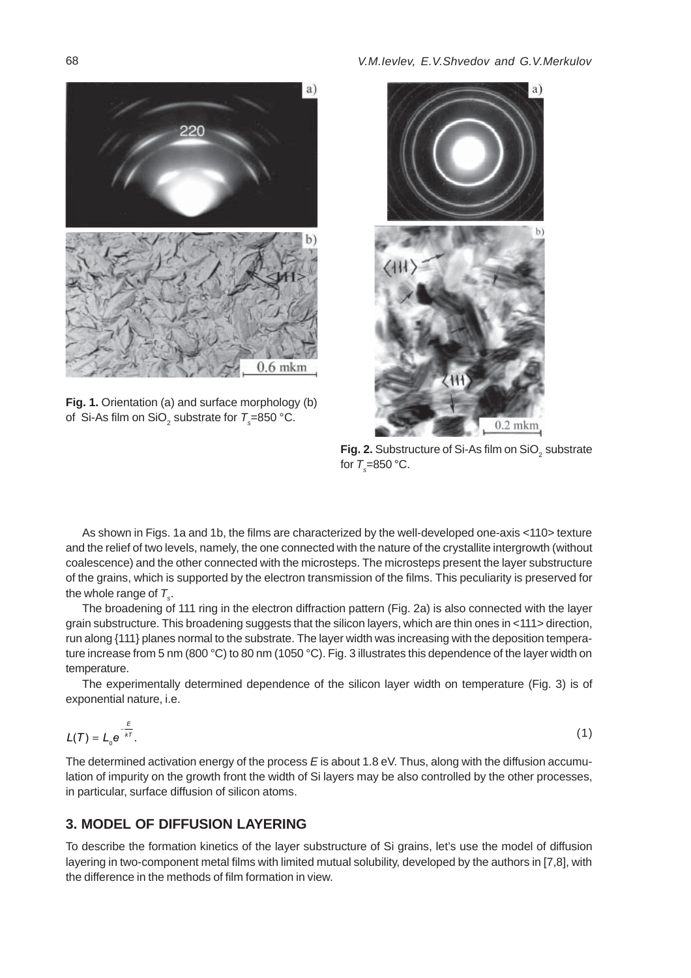

**Fig. 1.** Orientation (a) and surface morphology (b) of Si-As film on SiO<sub>2</sub> substrate for  $T$ <sub>s</sub>=850 °C.



**Fig. 2.** Substructure of Si-As film on SiO<sub>2</sub> substrate for  $T_{\rm s}$ =850 °C.

As shown in Figs. 1a and 1b, the films are characterized by the well-developed one-axis <110> texture and the relief of two levels, namely, the one connected with the nature of the crystallite intergrowth (without coalescence) and the other connected with the microsteps. The microsteps present the layer substructure of the grains, which is supported by the electron transmission of the films. This peculiarity is preserved for the whole range of  $T_{s}$ .

The broadening of 111 ring in the electron diffraction pattern (Fig. 2a) is also connected with the layer grain substructure. This broadening suggests that the silicon layers, which are thin ones in <111> direction, run along {111} planes normal to the substrate. The layer width was increasing with the deposition temperature increase from 5 nm (800 °C) to 80 nm (1050 °C). Fig. 3 illustrates this dependence of the layer width on temperature.

The experimentally determined dependence of the silicon layer width on temperature (Fig. 3) is of exponential nature, i.e.

$$
L(\mathcal{T}) = L_0 e^{-\frac{\mathcal{E}}{k\tau}}.\tag{1}
$$

The determined activation energy of the process *E* is about 1.8 eV. Thus, along with the diffusion accumulation of impurity on the growth front the width of Si layers may be also controlled by the other processes, in particular, surface diffusion of silicon atoms.

### **3. MODEL OF DIFFUSION LAYERING**

To describe the formation kinetics of the layer substructure of Si grains, let's use the model of diffusion layering in two-component metal films with limited mutual solubility, developed by the authors in [7,8], with the difference in the methods of film formation in view.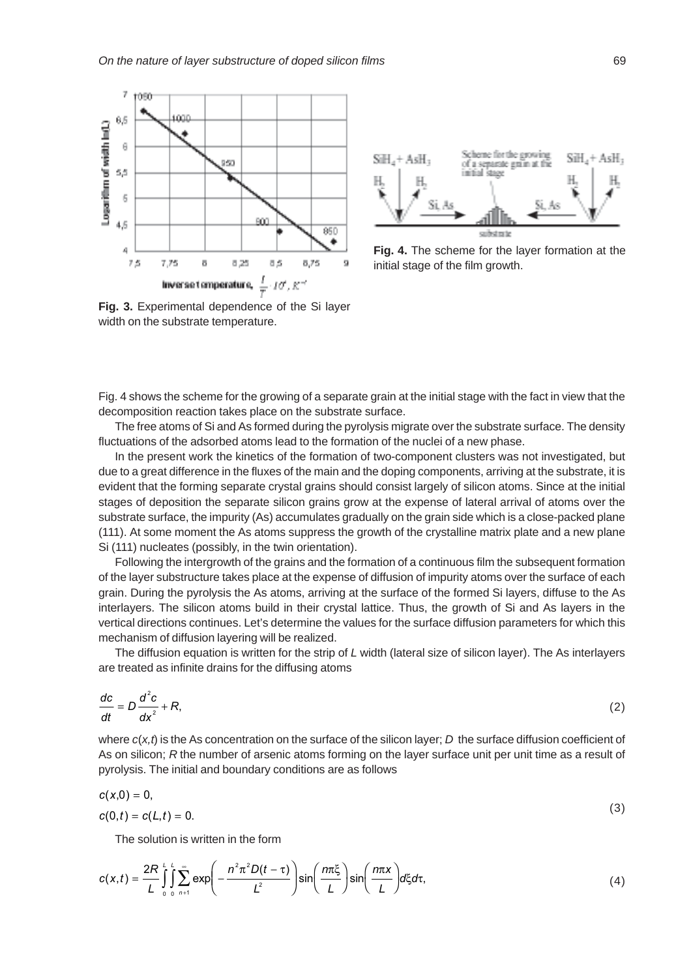



**Fig. 4.** The scheme for the layer formation at the initial stage of the film growth.

**Fig. 3.** Experimental dependence of the Si layer width on the substrate temperature.

Fig. 4 shows the scheme for the growing of a separate grain at the initial stage with the fact in view that the decomposition reaction takes place on the substrate surface.

The free atoms of Si and As formed during the pyrolysis migrate over the substrate surface. The density fluctuations of the adsorbed atoms lead to the formation of the nuclei of a new phase.

In the present work the kinetics of the formation of two-component clusters was not investigated, but due to a great difference in the fluxes of the main and the doping components, arriving at the substrate, it is evident that the forming separate crystal grains should consist largely of silicon atoms. Since at the initial stages of deposition the separate silicon grains grow at the expense of lateral arrival of atoms over the substrate surface, the impurity (As) accumulates gradually on the grain side which is a close-packed plane (111). At some moment the As atoms suppress the growth of the crystalline matrix plate and a new plane Si (111) nucleates (possibly, in the twin orientation).

Following the intergrowth of the grains and the formation of a continuous film the subsequent formation of the layer substructure takes place at the expense of diffusion of impurity atoms over the surface of each grain. During the pyrolysis the As atoms, arriving at the surface of the formed Si layers, diffuse to the As interlayers. The silicon atoms build in their crystal lattice. Thus, the growth of Si and As layers in the vertical directions continues. Let's determine the values for the surface diffusion parameters for which this mechanism of diffusion layering will be realized.

The diffusion equation is written for the strip of *L* width (lateral size of silicon layer). The As interlayers are treated as infinite drains for the diffusing atoms

$$
\frac{dc}{dt} = D\frac{d^2c}{dx^2} + R,\tag{2}
$$

where  $c(x,t)$  is the As concentration on the surface of the silicon layer; *D* the surface diffusion coefficient of As on silicon; *R* the number of arsenic atoms forming on the layer surface unit per unit time as a result of pyrolysis. The initial and boundary conditions are as follows

$$
c(x,0)=0,\t(3)
$$

 $c(0,t) = c(L,t) = 0.$  $= c(L, t) = 0.$  (3)

The solution is written in the form

$$
c(x,t) = \frac{2R}{L} \int_{0}^{L} \int_{0}^{\infty} \sum_{n=1}^{\infty} \exp\left(-\frac{n^2 \pi^2 D(t-\tau)}{L^2}\right) \sin\left(\frac{n\pi \xi}{L}\right) \sin\left(\frac{n\pi x}{L}\right) d\xi d\tau, \tag{4}
$$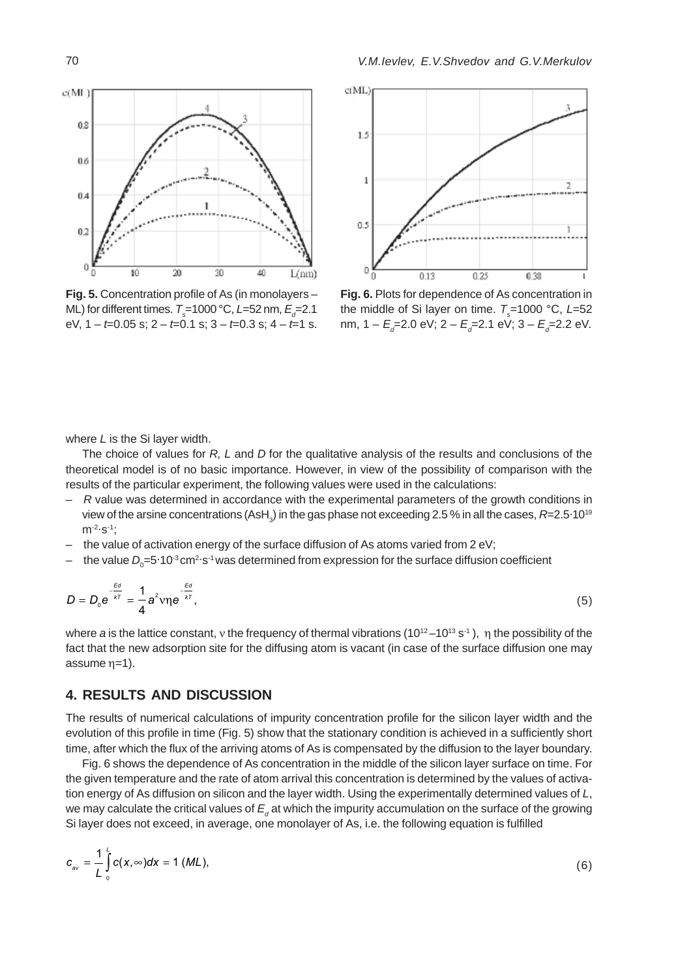

**Fig. 5.** Concentration profile of As (in monolayers – ML) for different times.  $T$ <sub>s</sub>=1000 °C, *L*=52 nm, *E*<sub>d</sub>=2.1 eV, 1 – *t*=0.05 s; 2 – *t*=0.1 s; 3 – *t*=0.3 s; 4 – *t*=1 s.



**Fig. 6.** Plots for dependence of As concentration in the middle of Si layer on time.  $\tau_{\rm s}$ =1000 °C, *L*=52 nm, 1 – *E<sub>d</sub>*=2.0 eV; 2 – *E<sub>d</sub>*=2.1 eV; 3 – *E<sub>d</sub>*=2.2 eV.

where *L* is the Si layer width.

The choice of values for *R, L* and *D* for the qualitative analysis of the results and conclusions of the theoretical model is of no basic importance. However, in view of the possibility of comparison with the results of the particular experiment, the following values were used in the calculations:

- *R* value was determined in accordance with the experimental parameters of the growth conditions in view of the arsine concentrations (AsH<sub>3</sub>) in the gas phase not exceeding 2.5 % in all the cases,  $R$ =2.5·10<sup>19</sup>  $m^{-2} \cdot s^{-1}$ ;
- the value of activation energy of the surface diffusion of As atoms varied from 2 eV;
- $-$  the value  $D_{\rm o}$ =5·10<sup>-3</sup> cm<sup>2.</sup>s<sup>-1</sup> was determined from expression for the surface diffusion coefficient

$$
D = D_0 e^{\frac{Ed}{kT}} = \frac{1}{4} a^2 v \eta e^{-\frac{Ed}{kT}},
$$
\n(5)

where *a* is the lattice constant, y the frequency of thermal vibrations (10<sup>12</sup> –10<sup>13</sup> s<sup>-1</sup>), η the possibility of the fact that the new adsorption site for the diffusing atom is vacant (in case of the surface diffusion one may assume  $\eta=1$ ).

### **4. RESULTS AND DISCUSSION**

The results of numerical calculations of impurity concentration profile for the silicon layer width and the evolution of this profile in time (Fig. 5) show that the stationary condition is achieved in a sufficiently short time, after which the flux of the arriving atoms of As is compensated by the diffusion to the layer boundary.

Fig. 6 shows the dependence of As concentration in the middle of the silicon layer surface on time. For the given temperature and the rate of atom arrival this concentration is determined by the values of activation energy of As diffusion on silicon and the layer width. Using the experimentally determined values of *L*, we may calculate the critical values of  $E_a$  at which the impurity accumulation on the surface of the growing Si layer does not exceed, in average, one monolayer of As, i.e. the following equation is fulfilled

$$
c_{\scriptscriptstyle av} = \frac{1}{L} \int_0^L c(x, \infty) dx = 1 \ (ML), \tag{6}
$$